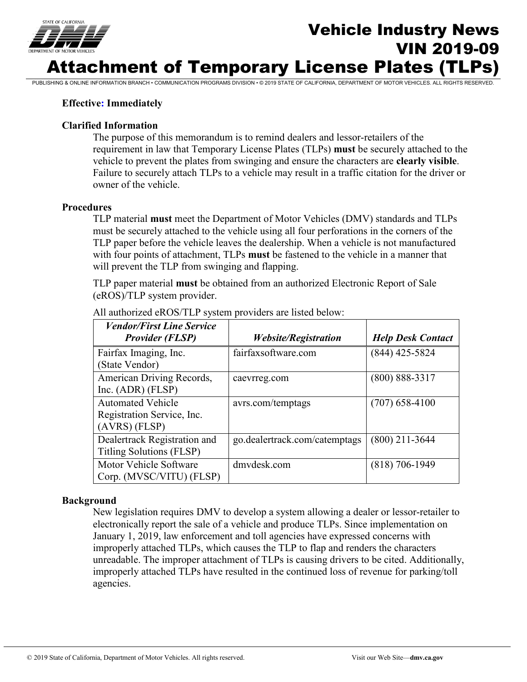

# Vehicle Industry News VIN 2019-09 Attachment of Temporary License Plates (TLPs)

PUBLISHING & ONLINE INFORMATION BRANCH • COMMUNICATION PROGRAMS DIVISION • © 2019 STATE OF CALIFORNIA, DEPARTMENT OF MOTOR VEHICLES. ALL RIGHTS RESERVED.

# **Effective: Immediately**

### **Clarified Information**

The purpose of this memorandum is to remind dealers and lessor-retailers of the requirement in law that Temporary License Plates (TLPs) **must** be securely attached to the vehicle to prevent the plates from swinging and ensure the characters are **clearly visible**. Failure to securely attach TLPs to a vehicle may result in a traffic citation for the driver or owner of the vehicle.

#### **Procedures**

TLP material **must** meet the Department of Motor Vehicles (DMV) standards and TLPs must be securely attached to the vehicle using all four perforations in the corners of the TLP paper before the vehicle leaves the dealership. When a vehicle is not manufactured with four points of attachment, TLPs **must** be fastened to the vehicle in a manner that will prevent the TLP from swinging and flapping.

TLP paper material **must** be obtained from an authorized Electronic Report of Sale (eROS)/TLP system provider.

| <b>Vendor/First Line Service</b><br><b>Provider (FLSP)</b>                | <i><b>Website/Registration</b></i> | <b>Help Desk Contact</b> |
|---------------------------------------------------------------------------|------------------------------------|--------------------------|
| Fairfax Imaging, Inc.<br>(State Vendor)                                   | fairfaxsoftware.com                | $(844)$ 425-5824         |
| American Driving Records,<br>Inc. $(ADR)$ $(FLSP)$                        | caevrreg.com                       | $(800) 888 - 3317$       |
| <b>Automated Vehicle</b><br>Registration Service, Inc.<br>$(AVRS)$ (FLSP) | avrs.com/temptags                  | $(707)$ 658-4100         |
| Dealertrack Registration and<br>Titling Solutions (FLSP)                  | go.dealertrack.com/catemptags      | $(800)$ 211-3644         |
| Motor Vehicle Software<br>Corp. (MVSC/VITU) (FLSP)                        | dmvdesk.com                        | $(818)$ 706-1949         |

All authorized eROS/TLP system providers are listed below:

#### **Background**

New legislation requires DMV to develop a system allowing a dealer or lessor-retailer to electronically report the sale of a vehicle and produce TLPs. Since implementation on January 1, 2019, law enforcement and toll agencies have expressed concerns with improperly attached TLPs, which causes the TLP to flap and renders the characters unreadable. The improper attachment of TLPs is causing drivers to be cited. Additionally, improperly attached TLPs have resulted in the continued loss of revenue for parking/toll agencies.